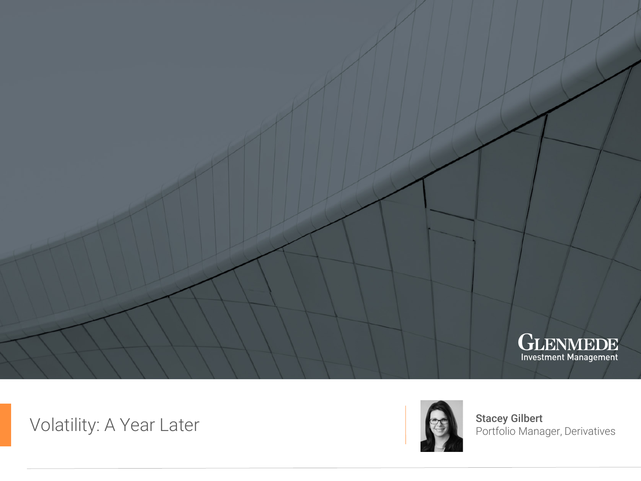

Volatility: A Year Later



Stacey Gilbert<br>Portfolio Manager, Derivatives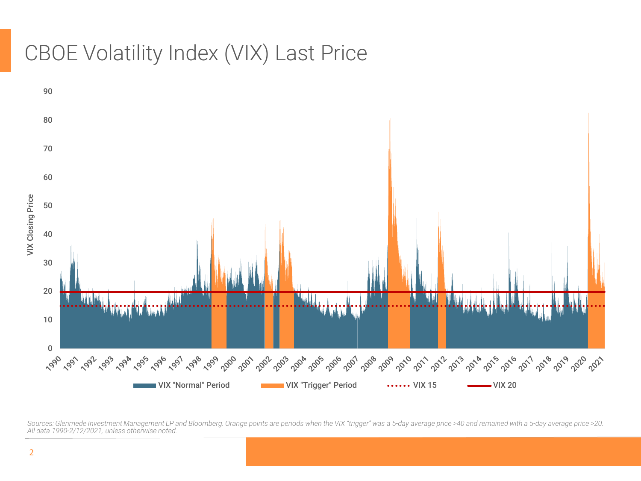## CBOE Volatility Index (VIX) Last Price



*Sources: Glenmede Investment Management LP and Bloomberg. Orange points are periods when the VIX "trigger" was a 5-day average price >40 and remained with a 5-day average price >20. All data 1990-2/12/2021, unless otherwise noted.*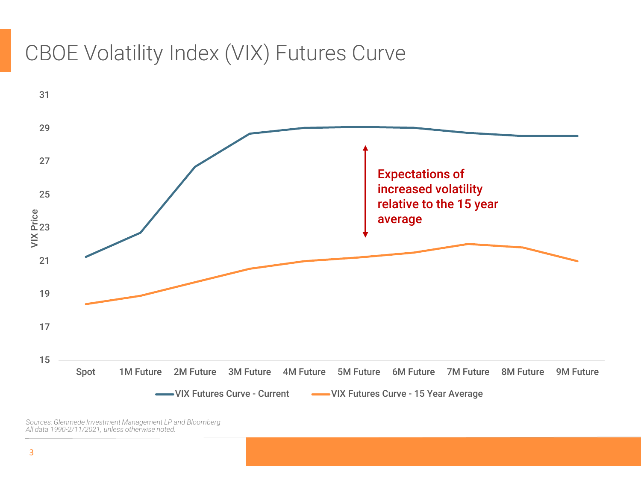## CBOE Volatility Index (VIX) Futures Curve



*Sources: Glenmede Investment Management LP and Bloomberg All data 1990-2/11/2021, unless otherwise noted.*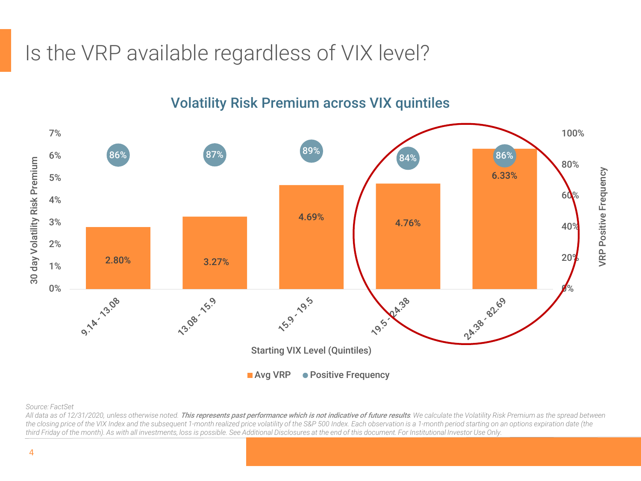# Is the VRP available regardless of VIX level?



#### Volatility Risk Premium across VIX quintiles

*Source: FactSet* 

All data as of 12/31/2020, unless otherwise noted. This represents past performance which is not indicative of future results. We calculate the Volatility Risk Premium as the spread between the closing price of the VIX Index and the subsequent 1-month realized price volatility of the S&P 500 Index. Each observation is a 1-month period starting on an options expiration date (the *third Friday of the month). As with all investments, loss is possible. See Additional Disclosures at the end of this document. For Institutional Investor Use Only.*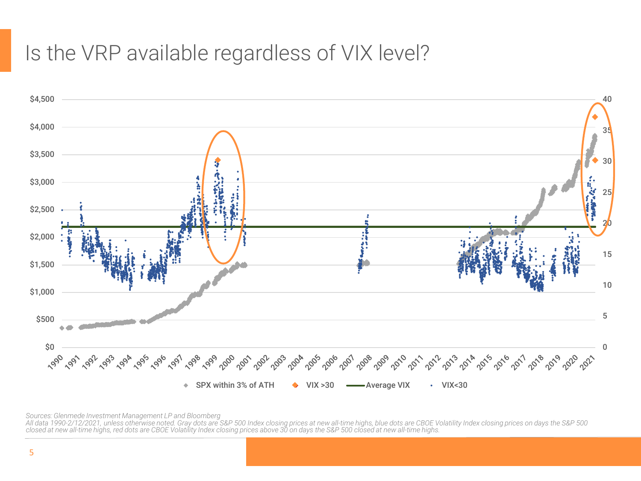## Is the VRP available regardless of VIX level?



*Sources: Glenmede Investment Management LP and Bloomberg*

All data 1990-2/12/2021, unless otherwise noted. Gray dots are S&P 500 Index closing prices at new all-time highs, blue dots are CBOE Volatility Index closing prices on days the S&P 500<br>closed at new all-time highs, red do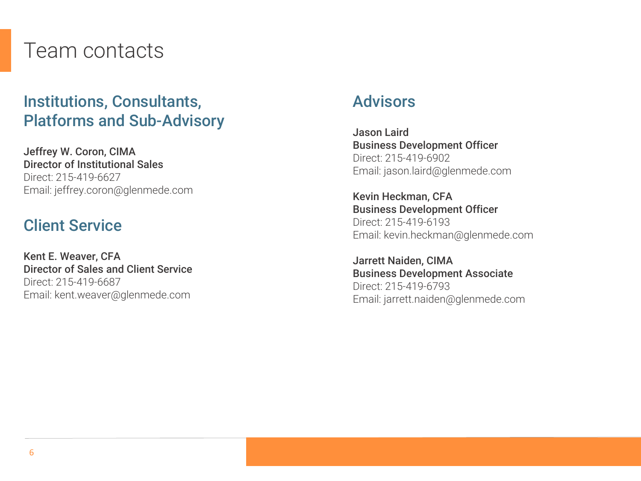## Team contacts

## Institutions, Consultants, Platforms and Sub-Advisory

Jeffrey W. Coron, CIMA Director of Institutional Sales Direct: 215-419-6627 Email: jeffrey.coron@glenmede.com

### Client Service

Kent E. Weaver, CFA Director of Sales and Client Service Direct: 215-419-6687 Email: kent.weaver@glenmede.com

### Advisors

Jason Laird Business Development Officer Direct: 215-419-6902 Email: jason.laird@glenmede.com

Kevin Heckman, CFA Business Development Officer Direct: 215-419-6193 Email: kevin.heckman@glenmede.com

Jarrett Naiden, CIMA Business Development Associate Direct: 215-419-6793 Email: jarrett.naiden@glenmede.com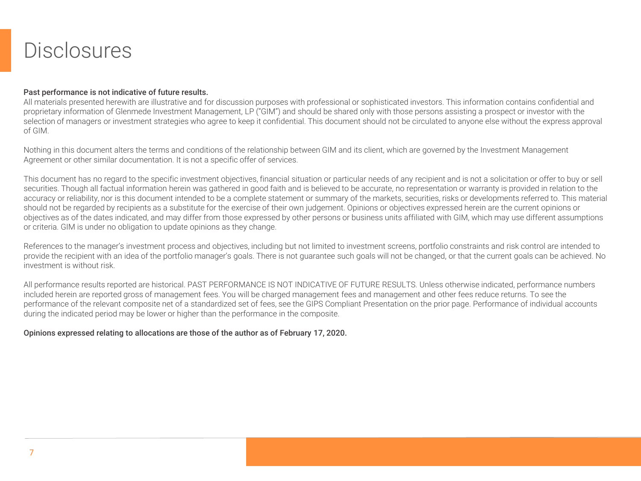## **Disclosures**

#### Past performance is not indicative of future results.

All materials presented herewith are illustrative and for discussion purposes with professional or sophisticated investors. This information contains confidential and proprietary information of Glenmede Investment Management, LP ("GIM") and should be shared only with those persons assisting a prospect or investor with the selection of managers or investment strategies who agree to keep it confidential. This document should not be circulated to anyone else without the express approval of GIM.

Nothing in this document alters the terms and conditions of the relationship between GIM and its client, which are governed by the Investment Management Agreement or other similar documentation. It is not a specific offer of services.

This document has no regard to the specific investment objectives, financial situation or particular needs of any recipient and is not a solicitation or offer to buy or sell securities. Though all factual information herein was gathered in good faith and is believed to be accurate, no representation or warranty is provided in relation to the accuracy or reliability, nor is this document intended to be a complete statement or summary of the markets, securities, risks or developments referred to. This material should not be regarded by recipients as a substitute for the exercise of their own judgement. Opinions or objectives expressed herein are the current opinions or objectives as of the dates indicated, and may differ from those expressed by other persons or business units affiliated with GIM, which may use different assumptions or criteria. GIM is under no obligation to update opinions as they change.

References to the manager's investment process and objectives, including but not limited to investment screens, portfolio constraints and risk control are intended to provide the recipient with an idea of the portfolio manager's goals. There is not guarantee such goals will not be changed, or that the current goals can be achieved. No investment is without risk.

All performance results reported are historical. PAST PERFORMANCE IS NOT INDICATIVE OF FUTURE RESULTS. Unless otherwise indicated, performance numbers included herein are reported gross of management fees. You will be charged management fees and management and other fees reduce returns. To see the performance of the relevant composite net of a standardized set of fees, see the GIPS Compliant Presentation on the prior page. Performance of individual accounts during the indicated period may be lower or higher than the performance in the composite.

#### Opinions expressed relating to allocations are those of the author as of February 17, 2020.